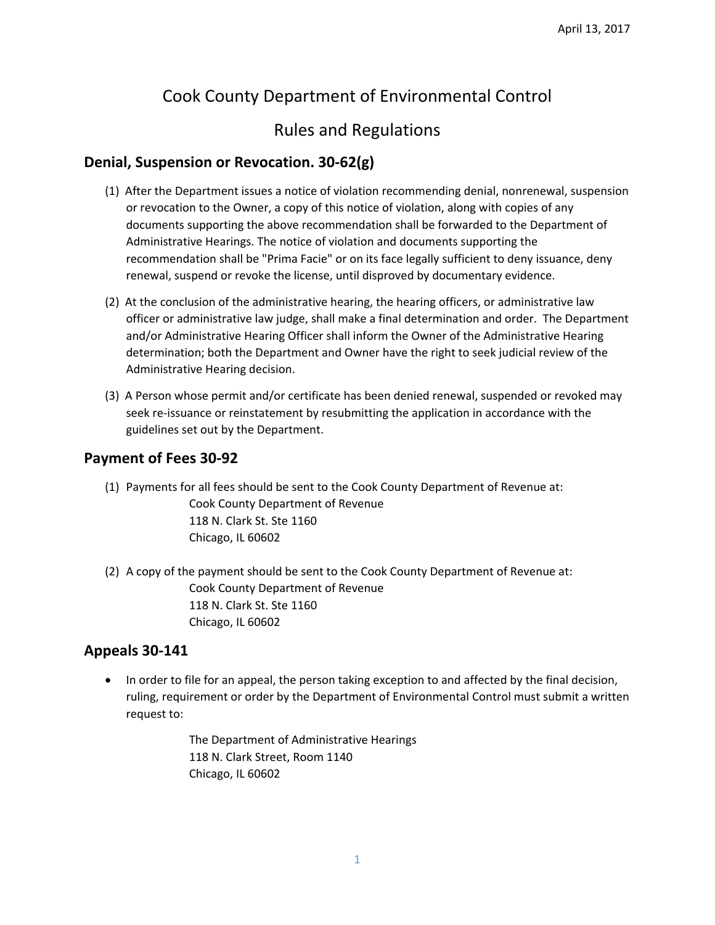# Cook County Department of Environmental Control

# Rules and Regulations

# **Denial, Suspension or Revocation. 30‐62(g)**

- (1) After the Department issues a notice of violation recommending denial, nonrenewal, suspension or revocation to the Owner, a copy of this notice of violation, along with copies of any documents supporting the above recommendation shall be forwarded to the Department of Administrative Hearings. The notice of violation and documents supporting the recommendation shall be "Prima Facie" or on its face legally sufficient to deny issuance, deny renewal, suspend or revoke the license, until disproved by documentary evidence.
- (2) At the conclusion of the administrative hearing, the hearing officers, or administrative law officer or administrative law judge, shall make a final determination and order. The Department and/or Administrative Hearing Officer shall inform the Owner of the Administrative Hearing determination; both the Department and Owner have the right to seek judicial review of the Administrative Hearing decision.
- (3) A Person whose permit and/or certificate has been denied renewal, suspended or revoked may seek re-issuance or reinstatement by resubmitting the application in accordance with the guidelines set out by the Department.

### **Payment of Fees 30‐92**

(1) Payments for all fees should be sent to the Cook County Department of Revenue at:

Cook County Department of Revenue 118 N. Clark St. Ste 1160 Chicago, IL 60602

(2) A copy of the payment should be sent to the Cook County Department of Revenue at: Cook County Department of Revenue 118 N. Clark St. Ste 1160 Chicago, IL 60602

# **Appeals 30‐141**

• In order to file for an appeal, the person taking exception to and affected by the final decision, ruling, requirement or order by the Department of Environmental Control must submit a written request to:

> The Department of Administrative Hearings 118 N. Clark Street, Room 1140 Chicago, IL 60602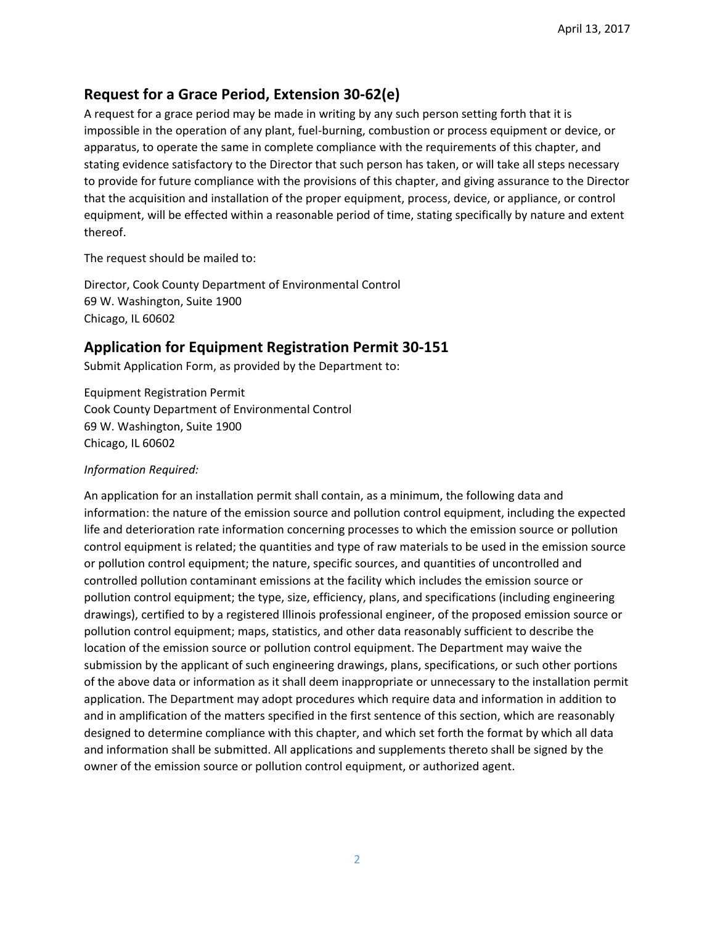# **Request for a Grace Period, Extension 30‐62(e)**

A request for a grace period may be made in writing by any such person setting forth that it is impossible in the operation of any plant, fuel‐burning, combustion or process equipment or device, or apparatus, to operate the same in complete compliance with the requirements of this chapter, and stating evidence satisfactory to the Director that such person has taken, or will take all steps necessary to provide for future compliance with the provisions of this chapter, and giving assurance to the Director that the acquisition and installation of the proper equipment, process, device, or appliance, or control equipment, will be effected within a reasonable period of time, stating specifically by nature and extent thereof.

The request should be mailed to:

Director, Cook County Department of Environmental Control 69 W. Washington, Suite 1900 Chicago, IL 60602

# **Application for Equipment Registration Permit 30‐151**

Submit Application Form, as provided by the Department to:

Equipment Registration Permit Cook County Department of Environmental Control 69 W. Washington, Suite 1900 Chicago, IL 60602

#### *Information Required:*

An application for an installation permit shall contain, as a minimum, the following data and information: the nature of the emission source and pollution control equipment, including the expected life and deterioration rate information concerning processes to which the emission source or pollution control equipment is related; the quantities and type of raw materials to be used in the emission source or pollution control equipment; the nature, specific sources, and quantities of uncontrolled and controlled pollution contaminant emissions at the facility which includes the emission source or pollution control equipment; the type, size, efficiency, plans, and specifications (including engineering drawings), certified to by a registered Illinois professional engineer, of the proposed emission source or pollution control equipment; maps, statistics, and other data reasonably sufficient to describe the location of the emission source or pollution control equipment. The Department may waive the submission by the applicant of such engineering drawings, plans, specifications, or such other portions of the above data or information as it shall deem inappropriate or unnecessary to the installation permit application. The Department may adopt procedures which require data and information in addition to and in amplification of the matters specified in the first sentence of this section, which are reasonably designed to determine compliance with this chapter, and which set forth the format by which all data and information shall be submitted. All applications and supplements thereto shall be signed by the owner of the emission source or pollution control equipment, or authorized agent.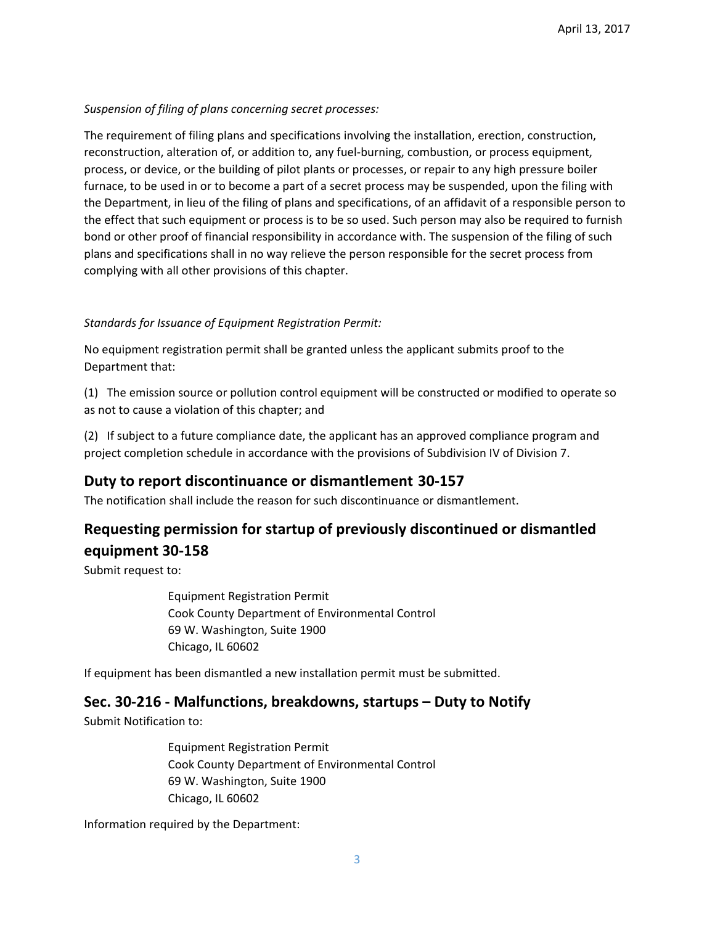#### *Suspension of filing of plans concerning secret processes:*

The requirement of filing plans and specifications involving the installation, erection, construction, reconstruction, alteration of, or addition to, any fuel‐burning, combustion, or process equipment, process, or device, or the building of pilot plants or processes, or repair to any high pressure boiler furnace, to be used in or to become a part of a secret process may be suspended, upon the filing with the Department, in lieu of the filing of plans and specifications, of an affidavit of a responsible person to the effect that such equipment or process is to be so used. Such person may also be required to furnish bond or other proof of financial responsibility in accordance with. The suspension of the filing of such plans and specifications shall in no way relieve the person responsible for the secret process from complying with all other provisions of this chapter.

#### *Standards for Issuance of Equipment Registration Permit:*

No equipment registration permit shall be granted unless the applicant submits proof to the Department that:

(1) The emission source or pollution control equipment will be constructed or modified to operate so as not to cause a violation of this chapter; and

(2) If subject to a future compliance date, the applicant has an approved compliance program and project completion schedule in accordance with the provisions of Subdivision IV of Division 7.

# **Duty to report discontinuance or dismantlement 30‐157**

The notification shall include the reason for such discontinuance or dismantlement.

# **Requesting permission for startup of previously discontinued or dismantled equipment 30‐158**

Submit request to:

Equipment Registration Permit Cook County Department of Environmental Control 69 W. Washington, Suite 1900 Chicago, IL 60602

If equipment has been dismantled a new installation permit must be submitted.

# **Sec. 30‐216 ‐ Malfunctions, breakdowns, startups – Duty to Notify**

Submit Notification to:

Equipment Registration Permit Cook County Department of Environmental Control 69 W. Washington, Suite 1900 Chicago, IL 60602

Information required by the Department: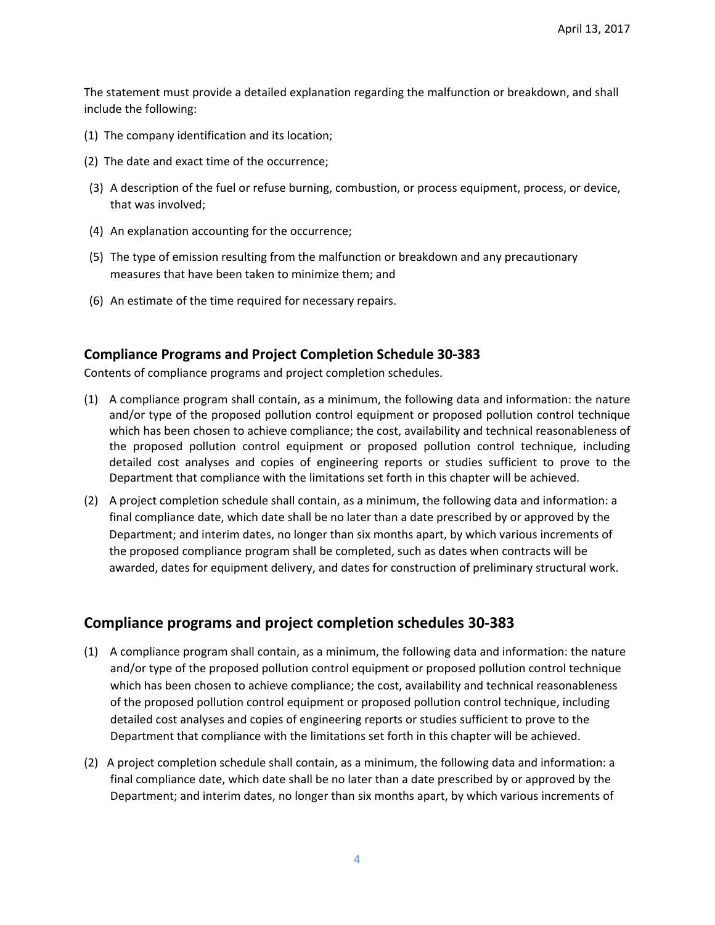The statement must provide a detailed explanation regarding the malfunction or breakdown, and shall include the following:

- (1) The company identification and its location;
- (2) The date and exact time of the occurrence;
- (3) A description of the fuel or refuse burning, combustion, or process equipment, process, or device, that was involved;
- (4) An explanation accounting for the occurrence;
- (5) The type of emission resulting from the malfunction or breakdown and any precautionary measures that have been taken to minimize them; and
- (6) An estimate of the time required for necessary repairs.

### **Compliance Programs and Project Completion Schedule 30‐383**

Contents of compliance programs and project completion schedules.

- (1) A compliance program shall contain, as a minimum, the following data and information: the nature and/or type of the proposed pollution control equipment or proposed pollution control technique which has been chosen to achieve compliance; the cost, availability and technical reasonableness of the proposed pollution control equipment or proposed pollution control technique, including detailed cost analyses and copies of engineering reports or studies sufficient to prove to the Department that compliance with the limitations set forth in this chapter will be achieved.
- (2) A project completion schedule shall contain, as a minimum, the following data and information: a final compliance date, which date shall be no later than a date prescribed by or approved by the Department; and interim dates, no longer than six months apart, by which various increments of the proposed compliance program shall be completed, such as dates when contracts will be awarded, dates for equipment delivery, and dates for construction of preliminary structural work.

# **Compliance programs and project completion schedules 30‐383**

- (1) A compliance program shall contain, as a minimum, the following data and information: the nature and/or type of the proposed pollution control equipment or proposed pollution control technique which has been chosen to achieve compliance; the cost, availability and technical reasonableness of the proposed pollution control equipment or proposed pollution control technique, including detailed cost analyses and copies of engineering reports or studies sufficient to prove to the Department that compliance with the limitations set forth in this chapter will be achieved.
- (2) A project completion schedule shall contain, as a minimum, the following data and information: a final compliance date, which date shall be no later than a date prescribed by or approved by the Department; and interim dates, no longer than six months apart, by which various increments of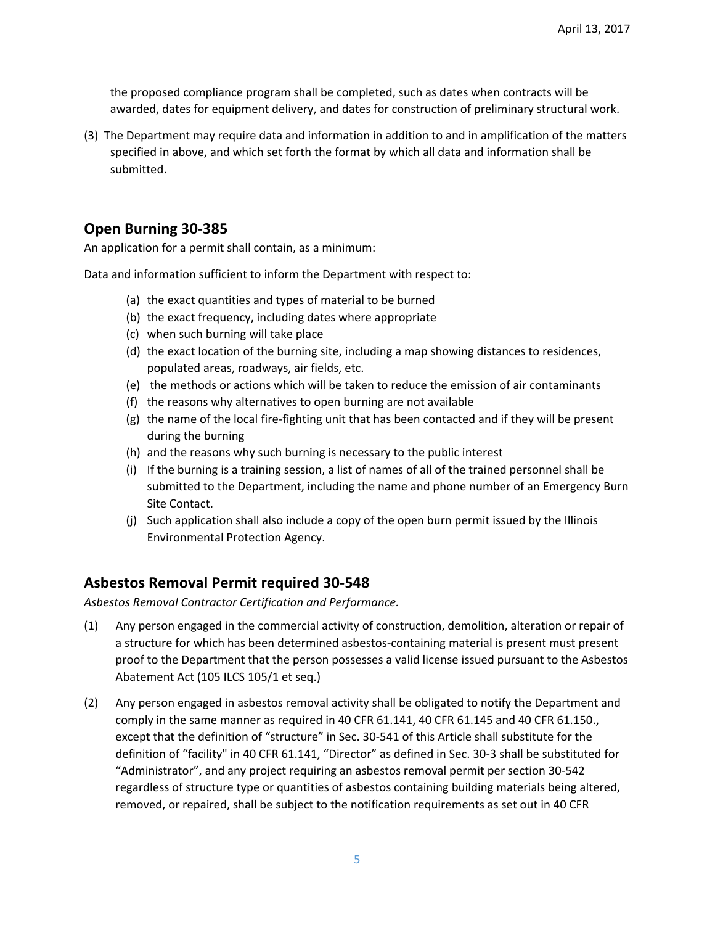the proposed compliance program shall be completed, such as dates when contracts will be awarded, dates for equipment delivery, and dates for construction of preliminary structural work.

(3) The Department may require data and information in addition to and in amplification of the matters specified in above, and which set forth the format by which all data and information shall be submitted.

### **Open Burning 30‐385**

An application for a permit shall contain, as a minimum:

Data and information sufficient to inform the Department with respect to:

- (a) the exact quantities and types of material to be burned
- (b) the exact frequency, including dates where appropriate
- (c) when such burning will take place
- (d) the exact location of the burning site, including a map showing distances to residences, populated areas, roadways, air fields, etc.
- (e) the methods or actions which will be taken to reduce the emission of air contaminants
- (f) the reasons why alternatives to open burning are not available
- (g) the name of the local fire‐fighting unit that has been contacted and if they will be present during the burning
- (h) and the reasons why such burning is necessary to the public interest
- (i) If the burning is a training session, a list of names of all of the trained personnel shall be submitted to the Department, including the name and phone number of an Emergency Burn Site Contact.
- (j) Such application shall also include a copy of the open burn permit issued by the Illinois Environmental Protection Agency.

# **Asbestos Removal Permit required 30‐548**

*Asbestos Removal Contractor Certification and Performance.*

- (1) Any person engaged in the commercial activity of construction, demolition, alteration or repair of a structure for which has been determined asbestos‐containing material is present must present proof to the Department that the person possesses a valid license issued pursuant to the Asbestos Abatement Act (105 ILCS 105/1 et seq.)
- (2) Any person engaged in asbestos removal activity shall be obligated to notify the Department and comply in the same manner as required in 40 CFR 61.141, 40 CFR 61.145 and 40 CFR 61.150., except that the definition of "structure" in Sec. 30‐541 of this Article shall substitute for the definition of "facility" in 40 CFR 61.141, "Director" as defined in Sec. 30‐3 shall be substituted for "Administrator", and any project requiring an asbestos removal permit per section 30‐542 regardless of structure type or quantities of asbestos containing building materials being altered, removed, or repaired, shall be subject to the notification requirements as set out in 40 CFR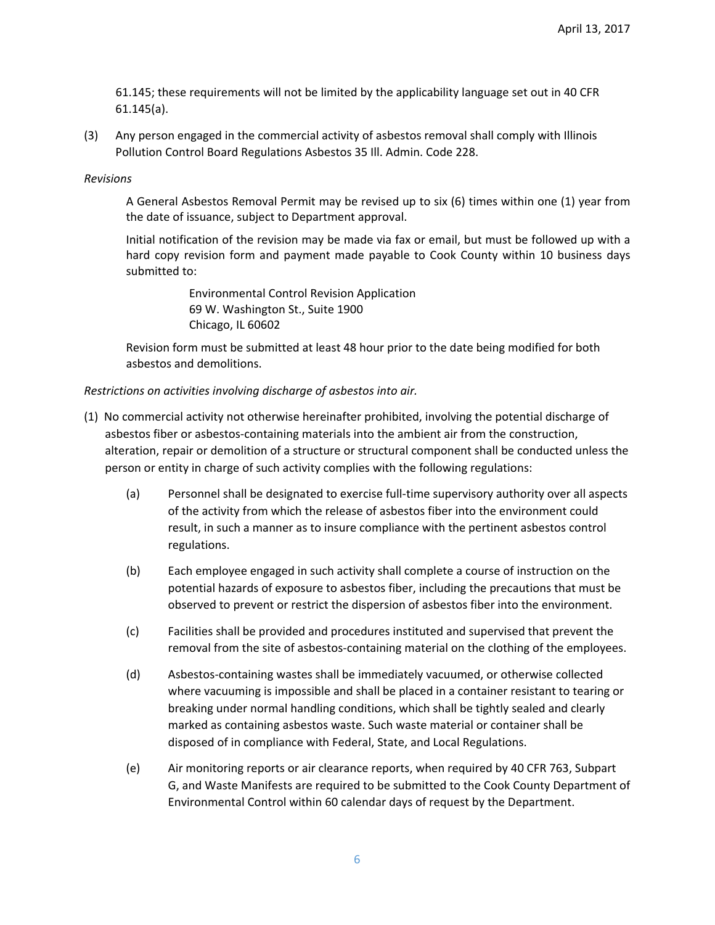61.145; these requirements will not be limited by the applicability language set out in 40 CFR 61.145(a).

(3) Any person engaged in the commercial activity of asbestos removal shall comply with Illinois Pollution Control Board Regulations Asbestos 35 Ill. Admin. Code 228.

#### *Revisions*

A General Asbestos Removal Permit may be revised up to six (6) times within one (1) year from the date of issuance, subject to Department approval.

Initial notification of the revision may be made via fax or email, but must be followed up with a hard copy revision form and payment made payable to Cook County within 10 business days submitted to:

> Environmental Control Revision Application 69 W. Washington St., Suite 1900 Chicago, IL 60602

Revision form must be submitted at least 48 hour prior to the date being modified for both asbestos and demolitions.

#### *Restrictions on activities involving discharge of asbestos into air.*

- (1) No commercial activity not otherwise hereinafter prohibited, involving the potential discharge of asbestos fiber or asbestos‐containing materials into the ambient air from the construction, alteration, repair or demolition of a structure or structural component shall be conducted unless the person or entity in charge of such activity complies with the following regulations:
	- (a) Personnel shall be designated to exercise full-time supervisory authority over all aspects of the activity from which the release of asbestos fiber into the environment could result, in such a manner as to insure compliance with the pertinent asbestos control regulations.
	- (b) Each employee engaged in such activity shall complete a course of instruction on the potential hazards of exposure to asbestos fiber, including the precautions that must be observed to prevent or restrict the dispersion of asbestos fiber into the environment.
	- (c) Facilities shall be provided and procedures instituted and supervised that prevent the removal from the site of asbestos‐containing material on the clothing of the employees.
	- (d) Asbestos‐containing wastes shall be immediately vacuumed, or otherwise collected where vacuuming is impossible and shall be placed in a container resistant to tearing or breaking under normal handling conditions, which shall be tightly sealed and clearly marked as containing asbestos waste. Such waste material or container shall be disposed of in compliance with Federal, State, and Local Regulations.
	- (e) Air monitoring reports or air clearance reports, when required by 40 CFR 763, Subpart G, and Waste Manifests are required to be submitted to the Cook County Department of Environmental Control within 60 calendar days of request by the Department.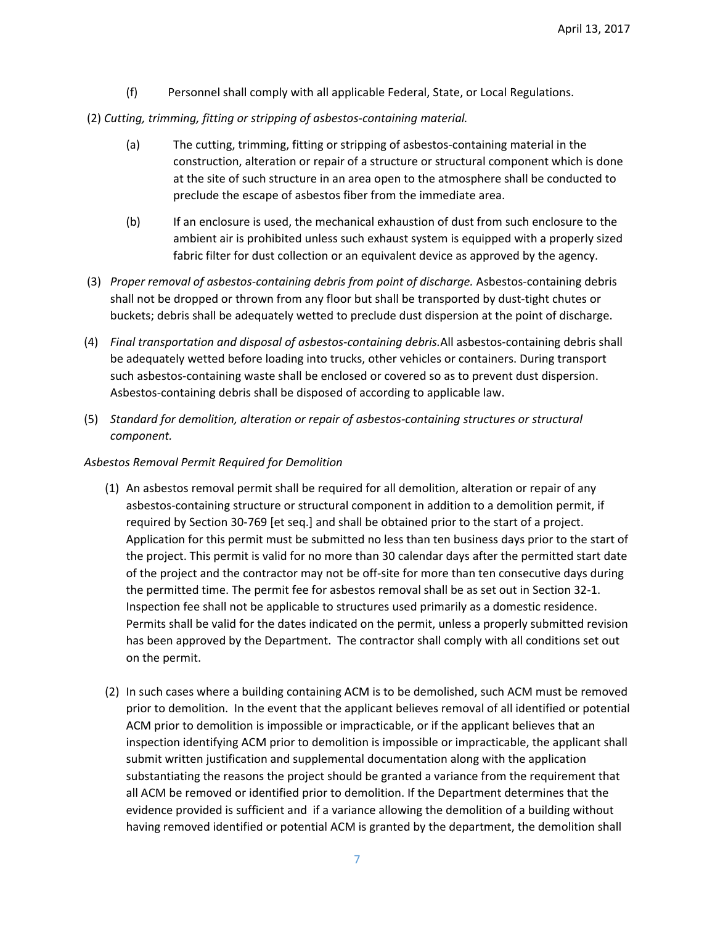- (f) Personnel shall comply with all applicable Federal, State, or Local Regulations.
- (2) *Cutting, trimming, fitting or stripping of asbestos‐containing material.*
	- (a) The cutting, trimming, fitting or stripping of asbestos‐containing material in the construction, alteration or repair of a structure or structural component which is done at the site of such structure in an area open to the atmosphere shall be conducted to preclude the escape of asbestos fiber from the immediate area.
	- (b) If an enclosure is used, the mechanical exhaustion of dust from such enclosure to the ambient air is prohibited unless such exhaust system is equipped with a properly sized fabric filter for dust collection or an equivalent device as approved by the agency.
- (3) *Proper removal of asbestos‐containing debris from point of discharge.* Asbestos‐containing debris shall not be dropped or thrown from any floor but shall be transported by dust‐tight chutes or buckets; debris shall be adequately wetted to preclude dust dispersion at the point of discharge.
- (4) *Final transportation and disposal of asbestos‐containing debris.*All asbestos‐containing debris shall be adequately wetted before loading into trucks, other vehicles or containers. During transport such asbestos‐containing waste shall be enclosed or covered so as to prevent dust dispersion. Asbestos‐containing debris shall be disposed of according to applicable law.
- (5) *Standard for demolition, alteration or repair of asbestos‐containing structures or structural component.*

#### *Asbestos Removal Permit Required for Demolition*

- (1) An asbestos removal permit shall be required for all demolition, alteration or repair of any asbestos‐containing structure or structural component in addition to a demolition permit, if required by Section 30‐769 [et seq.] and shall be obtained prior to the start of a project. Application for this permit must be submitted no less than ten business days prior to the start of the project. This permit is valid for no more than 30 calendar days after the permitted start date of the project and the contractor may not be off‐site for more than ten consecutive days during the permitted time. The permit fee for asbestos removal shall be as set out in Section 32‐1. Inspection fee shall not be applicable to structures used primarily as a domestic residence. Permits shall be valid for the dates indicated on the permit, unless a properly submitted revision has been approved by the Department. The contractor shall comply with all conditions set out on the permit.
- (2) In such cases where a building containing ACM is to be demolished, such ACM must be removed prior to demolition. In the event that the applicant believes removal of all identified or potential ACM prior to demolition is impossible or impracticable, or if the applicant believes that an inspection identifying ACM prior to demolition is impossible or impracticable, the applicant shall submit written justification and supplemental documentation along with the application substantiating the reasons the project should be granted a variance from the requirement that all ACM be removed or identified prior to demolition. If the Department determines that the evidence provided is sufficient and if a variance allowing the demolition of a building without having removed identified or potential ACM is granted by the department, the demolition shall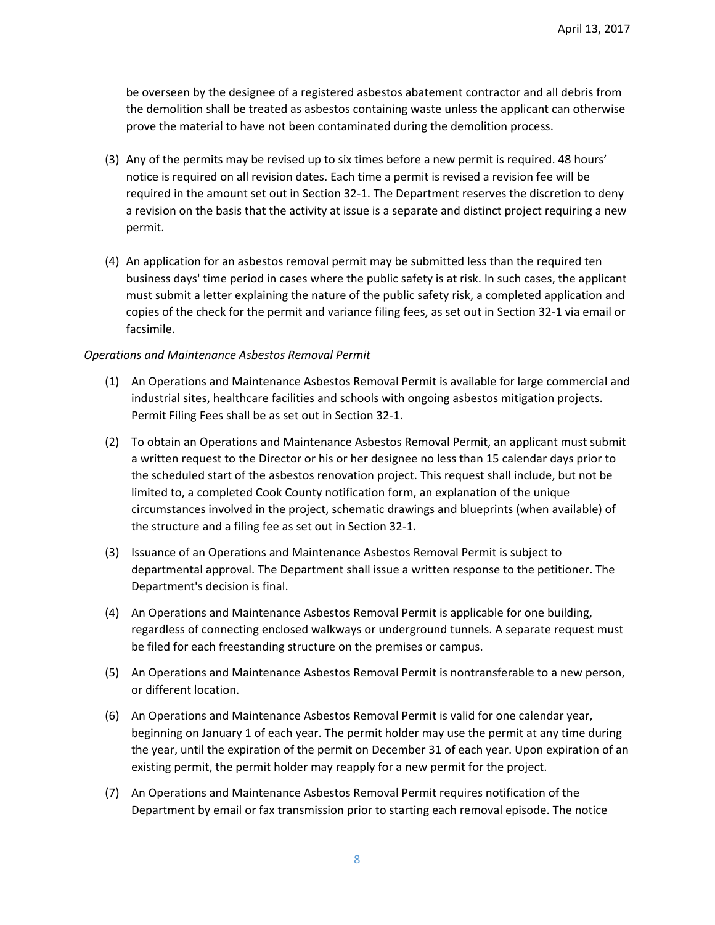be overseen by the designee of a registered asbestos abatement contractor and all debris from the demolition shall be treated as asbestos containing waste unless the applicant can otherwise prove the material to have not been contaminated during the demolition process.

- (3) Any of the permits may be revised up to six times before a new permit is required. 48 hours' notice is required on all revision dates. Each time a permit is revised a revision fee will be required in the amount set out in Section 32‐1. The Department reserves the discretion to deny a revision on the basis that the activity at issue is a separate and distinct project requiring a new permit.
- (4) An application for an asbestos removal permit may be submitted less than the required ten business days' time period in cases where the public safety is at risk. In such cases, the applicant must submit a letter explaining the nature of the public safety risk, a completed application and copies of the check for the permit and variance filing fees, as set out in Section 32‐1 via email or facsimile.

#### *Operations and Maintenance Asbestos Removal Permit*

- (1) An Operations and Maintenance Asbestos Removal Permit is available for large commercial and industrial sites, healthcare facilities and schools with ongoing asbestos mitigation projects. Permit Filing Fees shall be as set out in Section 32‐1.
- (2) To obtain an Operations and Maintenance Asbestos Removal Permit, an applicant must submit a written request to the Director or his or her designee no less than 15 calendar days prior to the scheduled start of the asbestos renovation project. This request shall include, but not be limited to, a completed Cook County notification form, an explanation of the unique circumstances involved in the project, schematic drawings and blueprints (when available) of the structure and a filing fee as set out in Section 32‐1.
- (3) Issuance of an Operations and Maintenance Asbestos Removal Permit is subject to departmental approval. The Department shall issue a written response to the petitioner. The Department's decision is final.
- (4) An Operations and Maintenance Asbestos Removal Permit is applicable for one building, regardless of connecting enclosed walkways or underground tunnels. A separate request must be filed for each freestanding structure on the premises or campus.
- (5) An Operations and Maintenance Asbestos Removal Permit is nontransferable to a new person, or different location.
- (6) An Operations and Maintenance Asbestos Removal Permit is valid for one calendar year, beginning on January 1 of each year. The permit holder may use the permit at any time during the year, until the expiration of the permit on December 31 of each year. Upon expiration of an existing permit, the permit holder may reapply for a new permit for the project.
- (7) An Operations and Maintenance Asbestos Removal Permit requires notification of the Department by email or fax transmission prior to starting each removal episode. The notice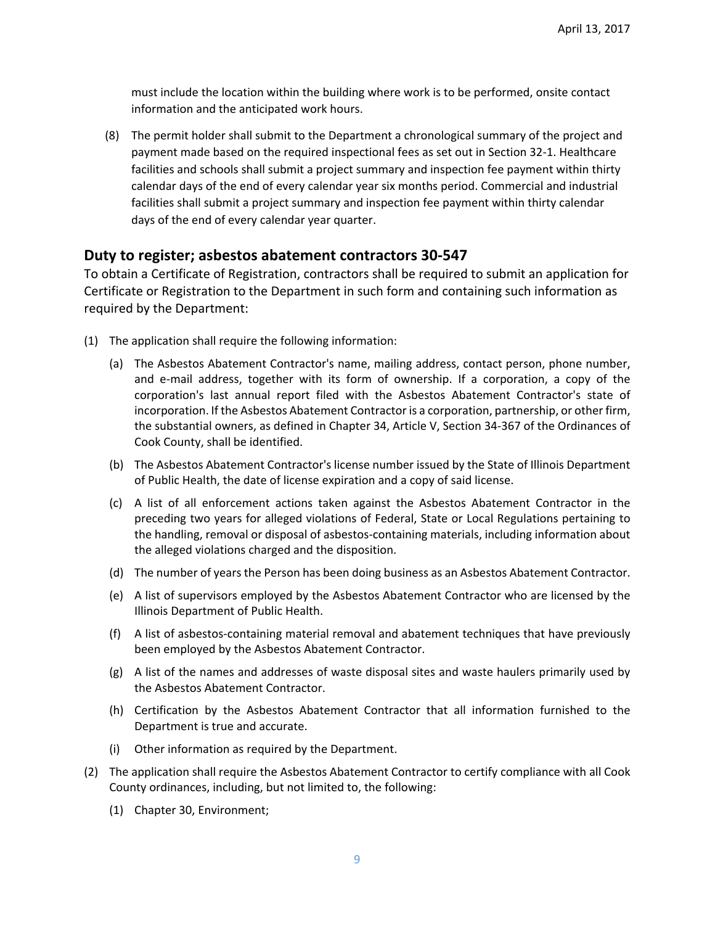must include the location within the building where work is to be performed, onsite contact information and the anticipated work hours.

(8) The permit holder shall submit to the Department a chronological summary of the project and payment made based on the required inspectional fees as set out in Section 32‐1. Healthcare facilities and schools shall submit a project summary and inspection fee payment within thirty calendar days of the end of every calendar year six months period. Commercial and industrial facilities shall submit a project summary and inspection fee payment within thirty calendar days of the end of every calendar year quarter.

### **Duty to register; asbestos abatement contractors 30‐547**

To obtain a Certificate of Registration, contractors shall be required to submit an application for Certificate or Registration to the Department in such form and containing such information as required by the Department:

- (1) The application shall require the following information:
	- (a) The Asbestos Abatement Contractor's name, mailing address, contact person, phone number, and e‐mail address, together with its form of ownership. If a corporation, a copy of the corporation's last annual report filed with the Asbestos Abatement Contractor's state of incorporation. If the Asbestos Abatement Contractor is a corporation, partnership, or other firm, the substantial owners, as defined in Chapter 34, Article V, Section 34‐367 of the Ordinances of Cook County, shall be identified.
	- (b) The Asbestos Abatement Contractor's license number issued by the State of Illinois Department of Public Health, the date of license expiration and a copy of said license.
	- (c) A list of all enforcement actions taken against the Asbestos Abatement Contractor in the preceding two years for alleged violations of Federal, State or Local Regulations pertaining to the handling, removal or disposal of asbestos‐containing materials, including information about the alleged violations charged and the disposition.
	- (d) The number of years the Person has been doing business as an Asbestos Abatement Contractor.
	- (e) A list of supervisors employed by the Asbestos Abatement Contractor who are licensed by the Illinois Department of Public Health.
	- (f) A list of asbestos‐containing material removal and abatement techniques that have previously been employed by the Asbestos Abatement Contractor.
	- (g) A list of the names and addresses of waste disposal sites and waste haulers primarily used by the Asbestos Abatement Contractor.
	- (h) Certification by the Asbestos Abatement Contractor that all information furnished to the Department is true and accurate.
	- (i) Other information as required by the Department.
- (2) The application shall require the Asbestos Abatement Contractor to certify compliance with all Cook County ordinances, including, but not limited to, the following:
	- (1) Chapter 30, Environment;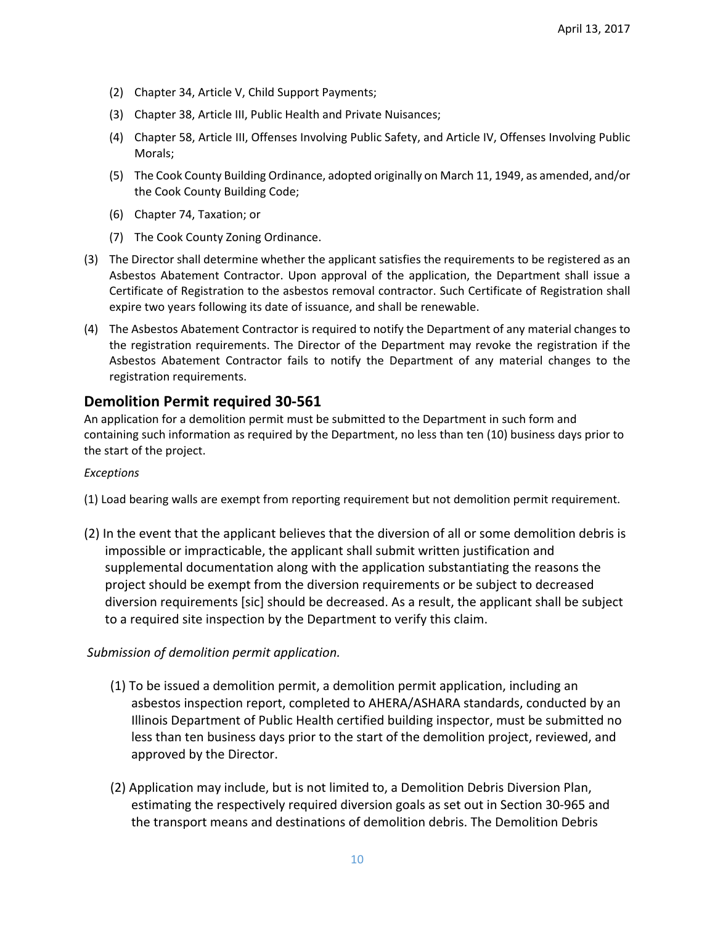- (2) Chapter 34, Article V, Child Support Payments;
- (3) Chapter 38, Article III, Public Health and Private Nuisances;
- (4) Chapter 58, Article III, Offenses Involving Public Safety, and Article IV, Offenses Involving Public Morals;
- (5) The Cook County Building Ordinance, adopted originally on March 11, 1949, as amended, and/or the Cook County Building Code;
- (6) Chapter 74, Taxation; or
- (7) The Cook County Zoning Ordinance.
- (3) The Director shall determine whether the applicant satisfies the requirements to be registered as an Asbestos Abatement Contractor. Upon approval of the application, the Department shall issue a Certificate of Registration to the asbestos removal contractor. Such Certificate of Registration shall expire two years following its date of issuance, and shall be renewable.
- (4) The Asbestos Abatement Contractor is required to notify the Department of any material changes to the registration requirements. The Director of the Department may revoke the registration if the Asbestos Abatement Contractor fails to notify the Department of any material changes to the registration requirements.

# **Demolition Permit required 30‐561**

An application for a demolition permit must be submitted to the Department in such form and containing such information as required by the Department, no less than ten (10) business days prior to the start of the project.

### *Exceptions*

- (1) Load bearing walls are exempt from reporting requirement but not demolition permit requirement.
- (2) In the event that the applicant believes that the diversion of all or some demolition debris is impossible or impracticable, the applicant shall submit written justification and supplemental documentation along with the application substantiating the reasons the project should be exempt from the diversion requirements or be subject to decreased diversion requirements [sic] should be decreased. As a result, the applicant shall be subject to a required site inspection by the Department to verify this claim.

### *Submission of demolition permit application.*

- (1) To be issued a demolition permit, a demolition permit application, including an asbestos inspection report, completed to AHERA/ASHARA standards, conducted by an Illinois Department of Public Health certified building inspector, must be submitted no less than ten business days prior to the start of the demolition project, reviewed, and approved by the Director.
- (2) Application may include, but is not limited to, a Demolition Debris Diversion Plan, estimating the respectively required diversion goals as set out in Section 30‐965 and the transport means and destinations of demolition debris. The Demolition Debris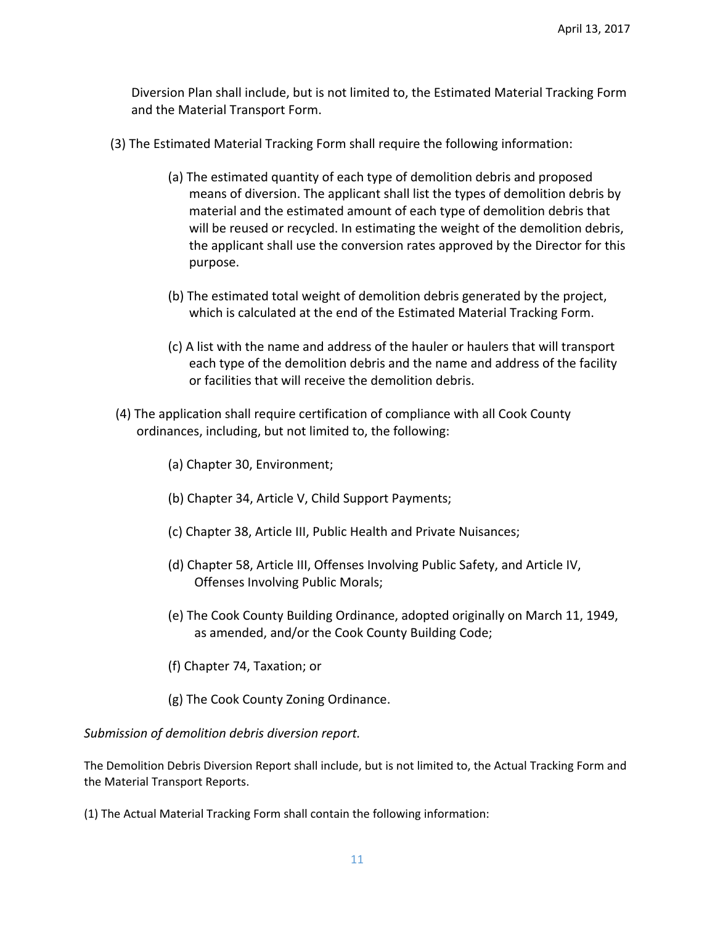Diversion Plan shall include, but is not limited to, the Estimated Material Tracking Form and the Material Transport Form.

- (3) The Estimated Material Tracking Form shall require the following information:
	- (a) The estimated quantity of each type of demolition debris and proposed means of diversion. The applicant shall list the types of demolition debris by material and the estimated amount of each type of demolition debris that will be reused or recycled. In estimating the weight of the demolition debris, the applicant shall use the conversion rates approved by the Director for this purpose.
	- (b) The estimated total weight of demolition debris generated by the project, which is calculated at the end of the Estimated Material Tracking Form.
	- (c) A list with the name and address of the hauler or haulers that will transport each type of the demolition debris and the name and address of the facility or facilities that will receive the demolition debris.
- (4) The application shall require certification of compliance with all Cook County ordinances, including, but not limited to, the following:
	- (a) Chapter 30, Environment;
	- (b) Chapter 34, Article V, Child Support Payments;
	- (c) Chapter 38, Article III, Public Health and Private Nuisances;
	- (d) Chapter 58, Article III, Offenses Involving Public Safety, and Article IV, Offenses Involving Public Morals;
	- (e) The Cook County Building Ordinance, adopted originally on March 11, 1949, as amended, and/or the Cook County Building Code;
	- (f) Chapter 74, Taxation; or
	- (g) The Cook County Zoning Ordinance.

*Submission of demolition debris diversion report.* 

The Demolition Debris Diversion Report shall include, but is not limited to, the Actual Tracking Form and the Material Transport Reports.

(1) The Actual Material Tracking Form shall contain the following information: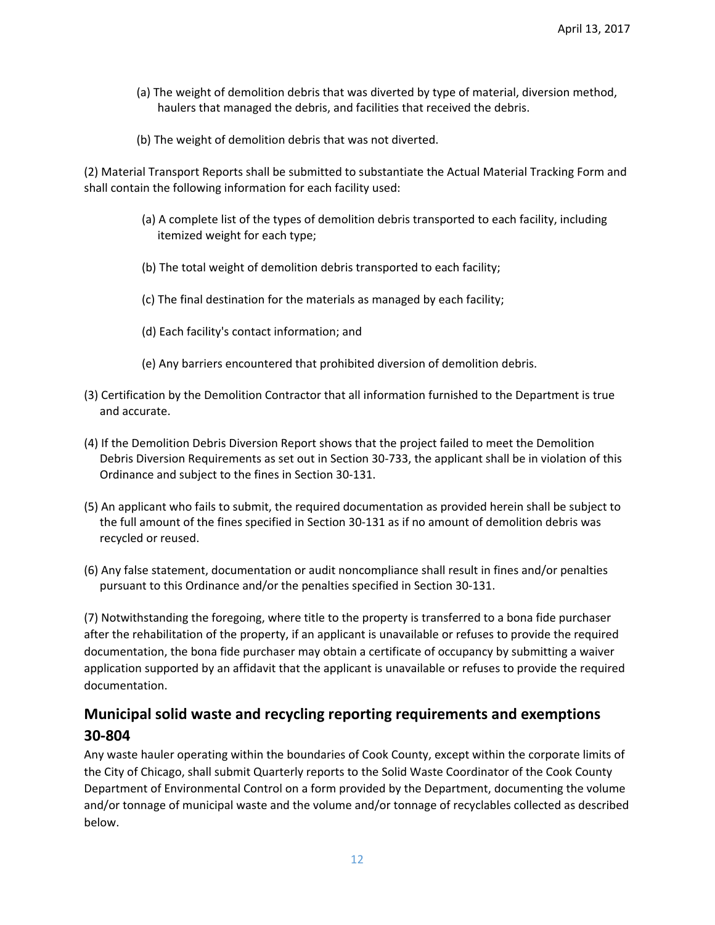- (a) The weight of demolition debris that was diverted by type of material, diversion method, haulers that managed the debris, and facilities that received the debris.
- (b) The weight of demolition debris that was not diverted.

(2) Material Transport Reports shall be submitted to substantiate the Actual Material Tracking Form and shall contain the following information for each facility used:

- (a) A complete list of the types of demolition debris transported to each facility, including itemized weight for each type;
- (b) The total weight of demolition debris transported to each facility;
- (c) The final destination for the materials as managed by each facility;
- (d) Each facility's contact information; and
- (e) Any barriers encountered that prohibited diversion of demolition debris.
- (3) Certification by the Demolition Contractor that all information furnished to the Department is true and accurate.
- (4) If the Demolition Debris Diversion Report shows that the project failed to meet the Demolition Debris Diversion Requirements as set out in Section 30‐733, the applicant shall be in violation of this Ordinance and subject to the fines in Section 30‐131.
- (5) An applicant who fails to submit, the required documentation as provided herein shall be subject to the full amount of the fines specified in Section 30‐131 as if no amount of demolition debris was recycled or reused.
- (6) Any false statement, documentation or audit noncompliance shall result in fines and/or penalties pursuant to this Ordinance and/or the penalties specified in Section 30‐131.

(7) Notwithstanding the foregoing, where title to the property is transferred to a bona fide purchaser after the rehabilitation of the property, if an applicant is unavailable or refuses to provide the required documentation, the bona fide purchaser may obtain a certificate of occupancy by submitting a waiver application supported by an affidavit that the applicant is unavailable or refuses to provide the required documentation.

# **Municipal solid waste and recycling reporting requirements and exemptions 30‐804**

Any waste hauler operating within the boundaries of Cook County, except within the corporate limits of the City of Chicago, shall submit Quarterly reports to the Solid Waste Coordinator of the Cook County Department of Environmental Control on a form provided by the Department, documenting the volume and/or tonnage of municipal waste and the volume and/or tonnage of recyclables collected as described below.